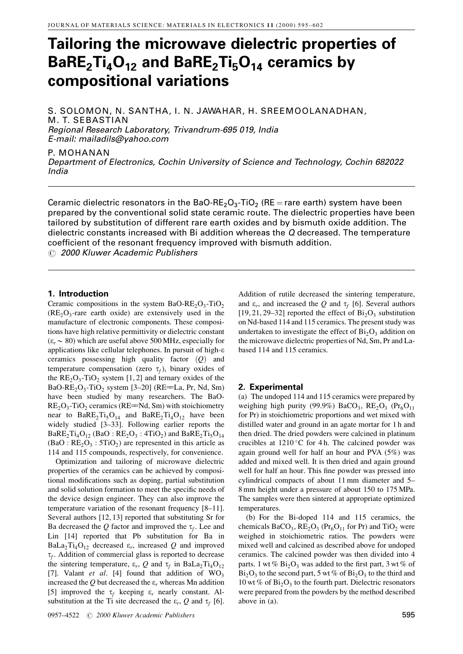# Tailoring the microwave dielectric properties of  $BaRE<sub>2</sub>Ti<sub>4</sub>O<sub>12</sub>$  and  $BaRE<sub>2</sub>Ti<sub>5</sub>O<sub>14</sub>$  ceramics by compositional variations

S. SOLOMON, N. SANTHA, I. N. JAWAHAR, H. SREEMOOLANADHAN, M. T. SEBASTIAN Regional Research Laboratory, Trivandrum-695 019, India E-mail: mailadils@yahoo.com

P. MOHANAN Department of Electronics, Cochin University of Science and Technology, Cochin 682022 India

Ceramic dielectric resonators in the BaO-RE<sub>2</sub>O<sub>3</sub>-TiO<sub>2</sub> (RE = rare earth) system have been prepared by the conventional solid state ceramic route. The dielectric properties have been tailored by substitution of different rare earth oxides and by bismuth oxide addition. The dielectric constants increased with Bi addition whereas the Q decreased. The temperature coefficient of the resonant frequency improved with bismuth addition.

 $\odot$  2000 Kluwer Academic Publishers

## 1. Introduction

Ceramic compositions in the system BaO-RE<sub>2</sub>O<sub>3</sub>-TiO<sub>2</sub>  $(RE_2O_3$ -rare earth oxide) are extensively used in the manufacture of electronic components. These compositions have high relative permittivity or dielectric constant  $(\varepsilon_r \sim 80)$  which are useful above 500 MHz, especially for applications like cellular telephones. In pursuit of high-e ceramics possessing high quality factor  $(Q)$  and temperature compensation (zero  $\tau_f$ ), binary oxides of the  $RE_2O_3$ -TiO<sub>2</sub> system [1, 2] and ternary oxides of the BaO-RE<sub>2</sub>O<sub>3</sub>-TiO<sub>2</sub> system [3–20] (RE=La, Pr, Nd, Sm) have been studied by many researchers. The BaO- $RE<sub>2</sub>O<sub>3</sub>$ -TiO<sub>2</sub> ceramics (RE=Nd, Sm) with stoichiometry near to  $BaRE<sub>2</sub>Ti<sub>5</sub>O<sub>14</sub>$  and  $BaRE<sub>2</sub>Ti<sub>4</sub>O<sub>12</sub>$  have been widely studied [3-33]. Following earlier reports the  $BaRE<sub>2</sub>Ti<sub>4</sub>O<sub>12</sub>$  (BaO :  $RE<sub>2</sub>O<sub>3</sub>$  : 4TiO<sub>2</sub>) and  $BaRE<sub>2</sub>Ti<sub>5</sub>O<sub>14</sub>$  $(BaO : RE<sub>2</sub>O<sub>3</sub> : 5TiO<sub>2</sub>)$  are represented in this article as 114 and 115 compounds, respectively, for convenience.

Optimization and tailoring of microwave dielectric properties of the ceramics can be achieved by compositional modifications such as doping, partial substitution and solid solution formation to meet the specific needs of the device design engineer. They can also improve the temperature variation of the resonant frequency  $[8-11]$ . Several authors [12, 13] reported that substituting Sr for Ba decreased the Q factor and improved the  $\tau_f$ . Lee and Lin [14] reported that Pb substitution for Ba in BaLa<sub>2</sub>Ti<sub>4</sub>O<sub>12</sub> decreased  $\varepsilon_r$ , increased Q and improved  $\tau_f$ . Addition of commercial glass is reported to decrease the sintering temperature,  $\varepsilon_r$ , Q and  $\tau_f$  in BaLa<sub>2</sub>Ti<sub>4</sub>O<sub>12</sub> [7]. Valant et al. [4] found that addition of  $WO_3$ increased the Q but decreased the  $\varepsilon_r$  whereas Mn addition [5] improved the  $\tau_f$  keeping  $\varepsilon_r$  nearly constant. Alsubstitution at the Ti site decreased the  $\varepsilon_r$ , Q and  $\tau_f$  [6].

0957±4522 # 2000 Kluwer Academic Publishers 595

Addition of rutile decreased the sintering temperature, and  $\varepsilon_r$ , and increased the Q and  $\tau_f$  [6]. Several authors  $[19, 21, 29-32]$  reported the effect of  $Bi_2O_3$  substitution on Nd-based 114 and 115 ceramics. The present study was undertaken to investigate the effect of  $Bi<sub>2</sub>O<sub>3</sub>$  addition on the microwave dielectric properties of Nd, Sm, Pr and Labased 114 and 115 ceramics.

## 2. Experimental

(a) The undoped 114 and 115 ceramics were prepared by weighing high purity (99.9%) BaCO<sub>3</sub>,  $RE_2O_3$  (Pr<sub>6</sub>O<sub>11</sub>) for Pr) in stoichiometric proportions and wet mixed with distilled water and ground in an agate mortar for 1 h and then dried. The dried powders were calcined in platinum crucibles at  $1210\text{ °C}$  for 4 h. The calcined powder was again ground well for half an hour and PVA (5%) was added and mixed well. It is then dried and again ground well for half an hour. This fine powder was pressed into cylindrical compacts of about 11 mm diameter and 5-8 mm height under a pressure of about 150 to 175 MPa. The samples were then sintered at appropriate optimized temperatures.

(b) For the Bi-doped 114 and 115 ceramics, the chemicals  $BaCO_3$ ,  $RE_2O_3$  ( $Pr_6O_{11}$  for Pr) and TiO<sub>2</sub> were weighed in stoichiometric ratios. The powders were mixed well and calcined as described above for undoped ceramics. The calcined powder was then divided into 4 parts. 1 wt %  $Bi<sub>2</sub>O<sub>3</sub>$  was added to the first part, 3 wt % of  $Bi<sub>2</sub>O<sub>3</sub>$  to the second part, 5 wt % of  $Bi<sub>2</sub>O<sub>3</sub>$  to the third and 10 wt % of  $Bi<sub>2</sub>O<sub>3</sub>$  to the fourth part. Dielectric resonators were prepared from the powders by the method described above in (a).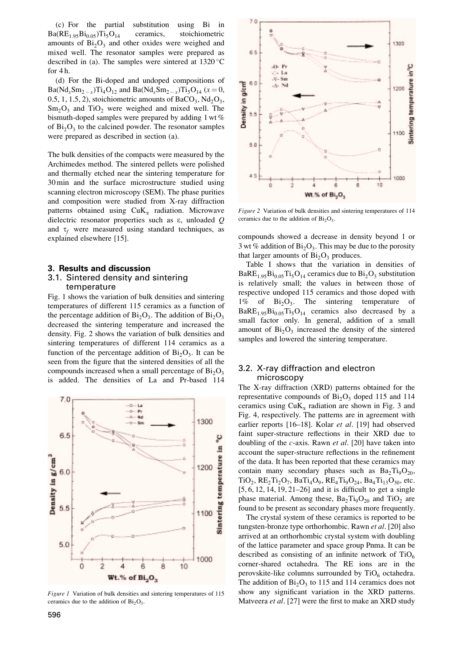(c) For the partial substitution using Bi in  $Ba(RE<sub>1.95</sub>Bi<sub>0.05</sub>)Ti<sub>5</sub>O<sub>14</sub>$  ceramics, stoichiometric amounts of  $Bi<sub>2</sub>O<sub>3</sub>$  and other oxides were weighed and mixed well. The resonator samples were prepared as described in (a). The samples were sintered at  $1320^{\circ}$ C for  $4 h$ .

(d) For the Bi-doped and undoped compositions of  $Ba(Nd_xSm_{2-x})Ti_4O_{12}$  and  $Ba(Nd_xSm_{2-x})Ti_5O_{14}$  ( $x = 0$ , 0.5, 1, 1.5, 2), stoichiometric amounts of  $BaCO<sub>3</sub>$ ,  $Nd<sub>2</sub>O<sub>3</sub>$ ,  $Sm<sub>2</sub>O<sub>3</sub>$  and TiO<sub>2</sub> were weighed and mixed well. The bismuth-doped samples were prepared by adding 1 wt % of  $Bi<sub>2</sub>O<sub>3</sub>$  to the calcined powder. The resonator samples were prepared as described in section (a).

The bulk densities of the compacts were measured by the Archimedes method. The sintered pellets were polished and thermally etched near the sintering temperature for 30 min and the surface microstructure studied using scanning electron microscopy (SEM). The phase purities and composition were studied from X-ray diffraction patterns obtained using  $CuK_{\alpha}$  radiation. Microwave dielectric resonator properties such as e, unloaded Q and  $\tau_f$  were measured using standard techniques, as explained elsewhere [15].

#### 3. Results and discussion

#### 3.1. Sintered density and sintering temperature

Fig. 1 shows the variation of bulk densities and sintering temperatures of different 115 ceramics as a function of the percentage addition of  $Bi_2O_3$ . The addition of  $Bi_2O_3$ decreased the sintering temperature and increased the density. Fig. 2 shows the variation of bulk densities and sintering temperatures of different 114 ceramics as a function of the percentage addition of  $Bi<sub>2</sub>O<sub>3</sub>$ . It can be seen from the figure that the sintered densities of all the compounds increased when a small percentage of  $Bi<sub>2</sub>O<sub>3</sub>$ is added. The densities of La and Pr-based 114



Figure 1 Variation of bulk densities and sintering temperatures of 115 ceramics due to the addition of  $Bi<sub>2</sub>O<sub>3</sub>$ .



Figure 2 Variation of bulk densities and sintering temperatures of 114 ceramics due to the addition of  $Bi_2O_3$ .

compounds showed a decrease in density beyond 1 or 3 wt % addition of  $Bi_2O_3$ . This may be due to the porosity that larger amounts of  $Bi<sub>2</sub>O<sub>3</sub>$  produces.

Table I shows that the variation in densities of  $BaRE<sub>1.95</sub>Bi<sub>0.05</sub>Ti<sub>5</sub>O<sub>14</sub>$  ceramics due to  $Bi<sub>2</sub>O<sub>3</sub>$  substitution is relatively small; the values in between those of respective undoped 115 ceramics and those doped with  $1\%$  of  $Bi_2O_3$ . The sintering temperature of  $BaRE<sub>1.95</sub>Bi<sub>0.05</sub>Ti<sub>5</sub>O<sub>14</sub>$  ceramics also decreased by a small factor only. In general, addition of a small amount of  $Bi<sub>2</sub>O<sub>3</sub>$  increased the density of the sintered samples and lowered the sintering temperature.

## 3.2. X-ray diffraction and electron microscopy

The X-ray diffraction (XRD) patterns obtained for the representative compounds of  $Bi<sub>2</sub>O<sub>3</sub>$  doped 115 and 114 ceramics using  $CuK_{\alpha}$  radiation are shown in Fig. 3 and Fig. 4, respectively. The patterns are in agreement with earlier reports [16-18]. Kolar et al. [19] had observed faint super-structure reflections in their XRD due to doubling of the  $c$ -axis. Rawn *et al.* [20] have taken into account the super-structure reflections in the refinement of the data. It has been reported that these ceramics may contain many secondary phases such as  $Ba<sub>2</sub>Ti<sub>9</sub>O<sub>20</sub>$ ,  $TiO_2$ ,  $RE_2Ti_2O_7$ ,  $BaTi_4O_9$ ,  $RE_4Ti_9O_{24}$ ,  $Ba_4Ti_{13}O_{30}$ , etc.  $[5, 6, 12, 14, 19, 21–26]$  and it is difficult to get a single phase material. Among these,  $Ba_2Ti_9O_{20}$  and  $TiO_2$  are found to be present as secondary phases more frequently.

The crystal system of these ceramics is reported to be tungsten-bronze type orthorhombic. Rawn et al. [20] also arrived at an orthorhombic crystal system with doubling of the lattice parameter and space group Pnma. It can be described as consisting of an infinite network of  $TiO<sub>6</sub>$ corner-shared octahedra. The RE ions are in the perovskite-like columns surrounded by  $TiO<sub>6</sub>$  octahedra. The addition of  $Bi<sub>2</sub>O<sub>3</sub>$  to 115 and 114 ceramics does not show any significant variation in the XRD patterns. Matveera et al. [27] were the first to make an XRD study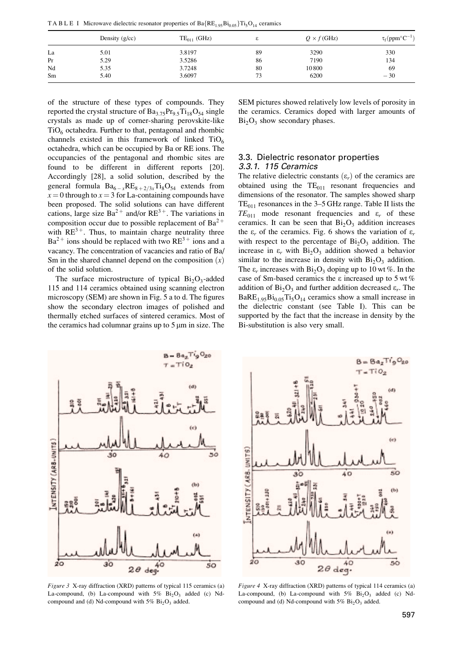TA B L E I Microwave dielectric resonator properties of  $Ba{RE_{1.95}Bi_{0.05}}{Ti_5O_{14}}$  ceramics

|    | Density $(g/cc)$ | $TE_{011}$ (GHz) |    | $Q \times f$ (GHz) | $\tau_f$ (ppm°C <sup>-1</sup> ) |
|----|------------------|------------------|----|--------------------|---------------------------------|
| La | 5.01             | 3.8197           | 89 | 3290               | 330                             |
| Pr | 5.29             | 3.5286           | 86 | 7190               | 134                             |
| Nd | 5.35             | 3.7248           | 80 | 10800              | 69                              |
| Sm | 5.40             | 3.6097           | 73 | 6200               | $-30$                           |

of the structure of these types of compounds. They reported the crystal structure of  $Ba_{3.75}Pr_{9.5}Ti_{18}O_{54}$  single crystals as made up of corner-sharing perovskite-like  $TiO<sub>6</sub> octahedra. Further to that, pentagonal and rhombic$ channels existed in this framework of linked  $TiO<sub>6</sub>$ octahedra, which can be occupied by Ba or RE ions. The occupancies of the pentagonal and rhombic sites are found to be different in different reports [20]. Accordingly [28], a solid solution, described by the general formula  $Ba_{6-x}RE_{8+2/3x}Ti_8O_{54}$  extends from  $x = 0$  through to  $x = 3$  for La-containing compounds have been proposed. The solid solutions can have different cations, large size  $Ba^{2+}$  and/or  $RE^{3+}$ . The variations in composition occur due to possible replacement of  $Ba^{2+}$ with  $RE^{3+}$ . Thus, to maintain charge neutrality three  $Ba^{2+}$  ions should be replaced with two  $RE^{3+}$  ions and a vacancy. The concentration of vacancies and ratio of Ba/ Sm in the shared channel depend on the composition  $(x)$ of the solid solution.

The surface microstructure of typical  $Bi_2O_3$ -added 115 and 114 ceramics obtained using scanning electron microscopy (SEM) are shown in Fig.  $5$  a to d. The figures show the secondary electron images of polished and thermally etched surfaces of sintered ceramics. Most of the ceramics had columnar grains up to  $5 \mu m$  in size. The

SEM pictures showed relatively low levels of porosity in the ceramics. Ceramics doped with larger amounts of  $Bi<sub>2</sub>O<sub>3</sub>$  show secondary phases.

## 3.3. Dielectric resonator properties 3.3.1. 115 Ceramics

The relative dielectric constants  $(\varepsilon_r)$  of the ceramics are obtained using the  $TE_{011}$  resonant frequencies and dimensions of the resonator. The samples showed sharp  $TE_{011}$  resonances in the 3–5 GHz range. Table II lists the  $TE_{011}$  mode resonant frequencies and  $\varepsilon_r$  of these ceramics. It can be seen that  $Bi<sub>2</sub>O<sub>3</sub>$  addition increases the  $\varepsilon_r$  of the ceramics. Fig. 6 shows the variation of  $\varepsilon_r$ with respect to the percentage of  $Bi<sub>2</sub>O<sub>3</sub>$  addition. The increase in  $\varepsilon_r$  with  $Bi_2O_3$  addition showed a behavior similar to the increase in density with  $Bi<sub>2</sub>O<sub>3</sub>$  addition. The  $\varepsilon_r$  increases with  $Bi_2O_3$  doping up to 10 wt %. In the case of Sm-based ceramics the e increased up to 5 wt % addition of  $Bi<sub>2</sub>O<sub>3</sub>$  and further addition decreased  $\varepsilon_r$ . The  $BaRE<sub>1.95</sub>Bi<sub>0.05</sub>Ti<sub>5</sub>O<sub>14</sub>$  ceramics show a small increase in the dielectric constant (see Table I). This can be supported by the fact that the increase in density by the Bi-substitution is also very small.



Figure 3 X-ray diffraction (XRD) patterns of typical 115 ceramics (a) La-compound, (b) La-compound with  $5\%$  Bi<sub>2</sub>O<sub>3</sub> added (c) Ndcompound and (d) Nd-compound with  $5\%$  Bi<sub>2</sub>O<sub>3</sub> added.



Figure 4 X-ray diffraction (XRD) patterns of typical 114 ceramics (a) La-compound, (b) La-compound with  $5\%$  Bi<sub>2</sub>O<sub>3</sub> added (c) Ndcompound and (d) Nd-compound with  $5\%$  Bi<sub>2</sub>O<sub>3</sub> added.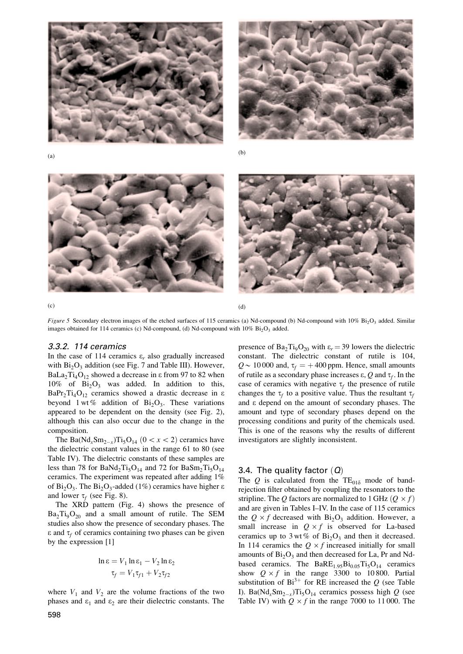







 $\qquad \qquad \textbf{(c)}\qquad \qquad \textbf{(d)}$ 

Figure 5. Secondary electron images of the etched surfaces of 115 ceramics (a) Nd-compound (b) Nd-compound with  $10\%$  Bi<sub>2</sub>O<sub>2</sub> added. Similar images obtained for 114 ceramics (c) Nd-compound, (d) Nd-compound with  $10\%$  Bi<sub>2</sub>O<sub>3</sub> added.

#### 3.3.2. 114 ceramics

In the case of 114 ceramics  $\varepsilon_r$  also gradually increased with  $Bi<sub>2</sub>O<sub>3</sub>$  addition (see Fig. 7 and Table III). However, BaLa<sub>2</sub>Ti<sub>4</sub>O<sub>12</sub> showed a decrease in  $\epsilon$  from 97 to 82 when 10% of  $Bi<sub>2</sub>O<sub>3</sub>$  was added. In addition to this,  $BaPr<sub>2</sub>Ti<sub>4</sub>O<sub>12</sub>$  ceramics showed a drastic decrease in  $\varepsilon$ beyond 1 wt% addition of  $Bi_2O_3$ . These variations appeared to be dependent on the density (see Fig. 2), although this can also occur due to the change in the composition.

The Ba( $Nd_xSm_{2-x}$ )Ti<sub>5</sub>O<sub>14</sub> (0 < x < 2) ceramics have the dielectric constant values in the range 61 to 80 (see Table IV). The dielectric constants of these samples are less than 78 for BaNd<sub>2</sub>Ti<sub>5</sub>O<sub>14</sub> and 72 for BaSm<sub>2</sub>Ti<sub>5</sub>O<sub>14</sub> ceramics. The experiment was repeated after adding 1% of  $Bi_2O_3$ . The  $Bi_2O_3$ -added (1%) ceramics have higher  $\varepsilon$ and lower  $\tau_f$  (see Fig. 8).

The XRD pattern (Fig. 4) shows the presence of  $Ba_2Ti_9O_{20}$  and a small amount of rutile. The SEM studies also show the presence of secondary phases. The  $\epsilon$  and  $\tau_f$  of ceramics containing two phases can be given by the expression [1]

$$
\ln \varepsilon = V_1 \ln \varepsilon_1 - V_2 \ln \varepsilon_2
$$

$$
\tau_f = V_1 \tau_{f1} + V_2 \tau_{f2}
$$

where  $V_1$  and  $V_2$  are the volume fractions of the two phases and  $\varepsilon_1$  and  $\varepsilon_2$  are their dielectric constants. The

presence of  $Ba_2Ti_9O_{20}$  with  $\varepsilon_r = 39$  lowers the dielectric constant. The dielectric constant of rutile is 104,  $Q \sim 10000$  and,  $\tau_f = +400$  ppm. Hence, small amounts of rutile as a secondary phase increases  $\varepsilon$ , Q and  $\tau_f$ . In the case of ceramics with negative  $\tau_f$  the presence of rutile changes the  $\tau_f$  to a positive value. Thus the resultant  $\tau_f$ and e depend on the amount of secondary phases. The amount and type of secondary phases depend on the processing conditions and purity of the chemicals used. This is one of the reasons why the results of different investigators are slightly inconsistent.

## 3.4. The quality factor  $(Q)$

The Q is calculated from the  $TE_{01\delta}$  mode of bandrejection filter obtained by coupling the resonators to the stripline. The Q factors are normalized to 1 GHz  $(Q \times f)$ and are given in Tables I–IV. In the case of 115 ceramics the  $Q \times f$  decreased with  $Bi_2O_3$  addition. However, a small increase in  $Q \times f$  is observed for La-based ceramics up to 3 wt % of  $Bi<sub>2</sub>O<sub>3</sub>$  and then it decreased. In 114 ceramics the  $Q \times f$  increased initially for small amounts of  $Bi<sub>2</sub>O<sub>3</sub>$  and then decreased for La, Pr and Ndbased ceramics. The  $BaRE<sub>1.95</sub>Bi<sub>0.05</sub>Ti<sub>5</sub>O<sub>14</sub>$  ceramics show  $Q \times f$  in the range 3300 to 10800. Partial substitution of Bi<sup>3+</sup> for RE increased the Q (see Table I). Ba( $Nd_xSm_{2-x}$ )Ti<sub>5</sub>O<sub>14</sub> ceramics possess high Q (see Table IV) with  $Q \times f$  in the range 7000 to 11 000. The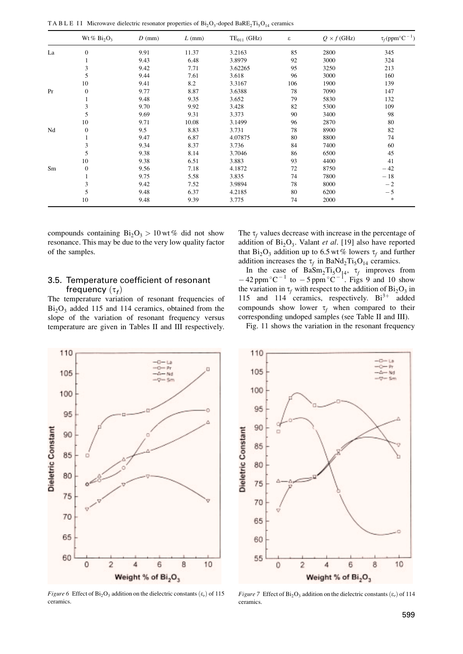TA B L E II Microwave dielectric resonator properties of  $Bi_2O_3$ -doped BaRE<sub>2</sub>Ti<sub>5</sub>O<sub>14</sub> ceramics

|    | Wt% $Bi_2O_3$    | $D$ (mm) | $L$ (mm) | $TE_{011}$ (GHz) | $\boldsymbol{\varepsilon}$ | $Q \times f$ (GHz) | $\tau_f$ (ppm°C <sup>-1</sup> ) |
|----|------------------|----------|----------|------------------|----------------------------|--------------------|---------------------------------|
| La | $\boldsymbol{0}$ | 9.91     | 11.37    | 3.2163           | 85                         | 2800               | 345                             |
|    |                  | 9.43     | 6.48     | 3.8979           | 92                         | 3000               | 324                             |
|    | 3                | 9.42     | 7.71     | 3.62265          | 95                         | 3250               | 213                             |
|    | 5                | 9.44     | 7.61     | 3.618            | 96                         | 3000               | 160                             |
|    | 10               | 9.41     | 8.2      | 3.3167           | 106                        | 1900               | 139                             |
| Pr | $\boldsymbol{0}$ | 9.77     | 8.87     | 3.6388           | 78                         | 7090               | 147                             |
|    |                  | 9.48     | 9.35     | 3.652            | 79                         | 5830               | 132                             |
|    | 3                | 9.70     | 9.92     | 3.428            | 82                         | 5300               | 109                             |
|    | 5                | 9.69     | 9.31     | 3.373            | 90                         | 3400               | 98                              |
|    | 10               | 9.71     | 10.08    | 3.1499           | 96                         | 2870               | 80                              |
| Nd | $\boldsymbol{0}$ | 9.5      | 8.83     | 3.731            | 78                         | 8900               | 82                              |
|    |                  | 9.47     | 6.87     | 4.07875          | 80                         | 8800               | 74                              |
|    | 3                | 9.34     | 8.37     | 3.736            | 84                         | 7400               | 60                              |
|    | 5                | 9.38     | 8.14     | 3.7046           | 86                         | 6500               | 45                              |
|    | 10               | 9.38     | 6.51     | 3.883            | 93                         | 4400               | 41                              |
| Sm | $\boldsymbol{0}$ | 9.56     | 7.18     | 4.1872           | 72                         | 8750               | $-42$                           |
|    |                  | 9.75     | 5.58     | 3.835            | 74                         | 7800               | $-18$                           |
|    | 3                | 9.42     | 7.52     | 3.9894           | 78                         | 8000               | $-2$                            |
|    | 5                | 9.48     | 6.37     | 4.2185           | 80                         | 6200               | $-5$                            |
|    | 10               | 9.48     | 9.39     | 3.775            | 74                         | 2000               | *                               |

compounds containing  $Bi_2O_3 > 10$  wt % did not show resonance. This may be due to the very low quality factor of the samples.

## 3.5. Temperature coefficient of resonant frequency  $(\tau_f)$

The temperature variation of resonant frequencies of  $Bi<sub>2</sub>O<sub>3</sub>$  added 115 and 114 ceramics, obtained from the slope of the variation of resonant frequency versus temperature are given in Tables II and III respectively.

The  $\tau_f$  values decrease with increase in the percentage of addition of  $Bi<sub>2</sub>O<sub>3</sub>$ . Valant *et al.* [19] also have reported that  $Bi_2O_3$  addition up to 6.5 wt % lowers  $\tau_f$  and further addition increases the  $\tau_f$  in BaNd<sub>2</sub>Ti<sub>5</sub>O<sub>14</sub> ceramics.

In the case of  $BaSm<sub>2</sub>Ti<sub>5</sub>O<sub>14</sub>$ ,  $\tau_f$  improves from  $-42$  ppm °C<sup>-1</sup> to  $-5$  ppm °C<sup>-1</sup>. Figs 9 and 10 show the variation in  $\tau_f$  with respect to the addition of Bi<sub>2</sub>O<sub>3</sub> in 115 and 114 ceramics, respectively.  $Bi^{3+}$  added compounds show lower  $\tau_f$  when compared to their corresponding undoped samples (see Table II and III).

Fig. 11 shows the variation in the resonant frequency



Figure 6 Effect of Bi<sub>2</sub>O<sub>3</sub> addition on the dielectric constants  $(\varepsilon_r)$  of 115 ceramics.



Figure 7 Effect of Bi<sub>2</sub>O<sub>3</sub> addition on the dielectric constants  $(\varepsilon_r)$  of 114 ceramics.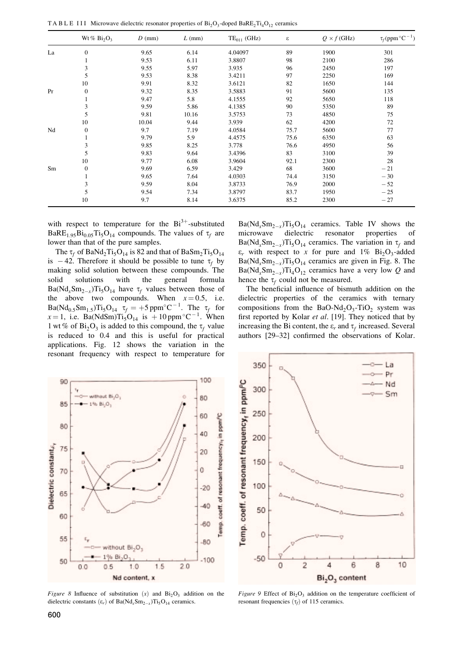TA B L E III Microwave dielectric resonator properties of  $Bi_2O_3$ -doped BaRE<sub>2</sub>Ti<sub>4</sub>O<sub>12</sub> ceramics

|    | Wt% $Bi_2O_3$    | $D$ (mm) | $L$ (mm) | $TE_{011}$ (GHz) | ε    | $Q \times f$ (GHz) | $\tau_f$ (ppm $^{\circ}$ C <sup>-1</sup> ) |
|----|------------------|----------|----------|------------------|------|--------------------|--------------------------------------------|
| La | $\overline{0}$   | 9.65     | 6.14     | 4.04097          | 89   | 1900               | 301                                        |
|    |                  | 9.53     | 6.11     | 3.8807           | 98   | 2100               | 286                                        |
|    | 3                | 9.55     | 5.97     | 3.935            | 96   | 2450               | 197                                        |
|    | 5                | 9.53     | 8.38     | 3.4211           | 97   | 2250               | 169                                        |
|    | 10               | 9.91     | 8.32     | 3.6121           | 82   | 1650               | 144                                        |
| Pr | $\boldsymbol{0}$ | 9.32     | 8.35     | 3.5883           | 91   | 5600               | 135                                        |
|    | 1                | 9.47     | 5.8      | 4.1555           | 92   | 5650               | 118                                        |
|    | 3                | 9.59     | 5.86     | 4.1385           | 90   | 5350               | 89                                         |
|    | 5                | 9.81     | 10.16    | 3.5753           | 73   | 4850               | 75                                         |
|    | 10               | 10.04    | 9.44     | 3.939            | 62   | 4200               | 72                                         |
| Nd | $\boldsymbol{0}$ | 9.7      | 7.19     | 4.0584           | 75.7 | 5600               | 77                                         |
|    |                  | 9.79     | 5.9      | 4.4575           | 75.6 | 6350               | 63                                         |
|    | 3                | 9.85     | 8.25     | 3.778            | 76.6 | 4950               | 56                                         |
|    | 5                | 9.83     | 9.64     | 3.4396           | 83   | 3100               | 39                                         |
|    | 10               | 9.77     | 6.08     | 3.9604           | 92.1 | 2300               | 28                                         |
| Sm | $\boldsymbol{0}$ | 9.69     | 6.59     | 3.429            | 68   | 3600               | $-21$                                      |
|    |                  | 9.65     | 7.64     | 4.0303           | 74.4 | 3150               | $-30$                                      |
|    | 3                | 9.59     | 8.04     | 3.8733           | 76.9 | 2000               | $-52$                                      |
|    | 5                | 9.54     | 7.34     | 3.8797           | 83.7 | 1950               | $-25$                                      |
|    | 10               | 9.7      | 8.14     | 3.6375           | 85.2 | 2300               | $-27$                                      |

with respect to temperature for the  $Bi^{3+}$ -substituted BaRE<sub>1.95</sub>Bi<sub>0.05</sub>Ti<sub>5</sub>O<sub>14</sub> compounds. The values of  $\tau_f$  are lower than that of the pure samples.

The  $\tau_f$  of BaNd<sub>2</sub>Ti<sub>5</sub>O<sub>14</sub> is 82 and that of BaSm<sub>2</sub>Ti<sub>5</sub>O<sub>14</sub> is  $-42$ . Therefore it should be possible to tune  $\tau_f$  by making solid solution between these compounds. The solid solutions with the general formula  $Ba(Nd_xSm_{2-x})Ti_5O_{14}$  have  $\tau_f$  values between those of the above two compounds. When  $x = 0.5$ , i.e.  $Ba(Nd_{0.5}Sm_{1.5})Ti_5O_{14}$   $\tau_f = +5$  ppm<sup>o</sup>C<sup>-1</sup>. The  $\tau_f$  for  $x = 1$ , i.e. Ba(NdSm)Ti<sub>5</sub>O<sub>14</sub> is +10 ppm<sup>o</sup>C<sup>-1</sup>. When 1 wt % of  $Bi_2O_3$  is added to this compound, the  $\tau_f$  value is reduced to 0.4 and this is useful for practical applications. Fig. 12 shows the variation in the resonant frequency with respect to temperature for

 $Ba(Nd<sub>x</sub>Sm<sub>2-x</sub>)Ti<sub>5</sub>O<sub>14</sub> \text{ eeramics.} \text{ Table IV shows the}\n$ microwave dielectric resonator properties of  $Ba(Nd_xSm_{2-x})Ti_5O_{14}$  ceramics. The variation in  $\tau_f$  and  $\varepsilon_r$  with respect to x for pure and 1% Bi<sub>2</sub>O<sub>3</sub>-added  $Ba(Nd_xSm_{2-x})Ti_5O_{14}$  ceramics are given in Fig. 8. The  $Ba(Nd_xSm_{2-x})Ti_4O_{12}$  ceramics have a very low Q and hence the  $\tau_f$  could not be measured.

The beneficial influence of bismuth addition on the dielectric properties of the ceramics with ternary compositions from the BaO-Nd<sub>2</sub>O<sub>3</sub>-TiO<sub>2</sub> system was first reported by Kolar et al. [19]. They noticed that by increasing the Bi content, the  $\varepsilon_r$  and  $\tau_f$  increased. Several authors [29-32] confirmed the observations of Kolar.



Figure 8 Influence of substitution  $(x)$  and  $Bi<sub>2</sub>O<sub>3</sub>$  addition on the dielectric constants  $(\epsilon_r)$  of Ba(Nd<sub>x</sub>Sm<sub>2-x</sub>)Ti<sub>5</sub>O<sub>14</sub> ceramics.



Figure 9 Effect of  $Bi_2O_3$  addition on the temperature coefficient of resonant frequencies  $(\tau_f)$  of 115 ceramics.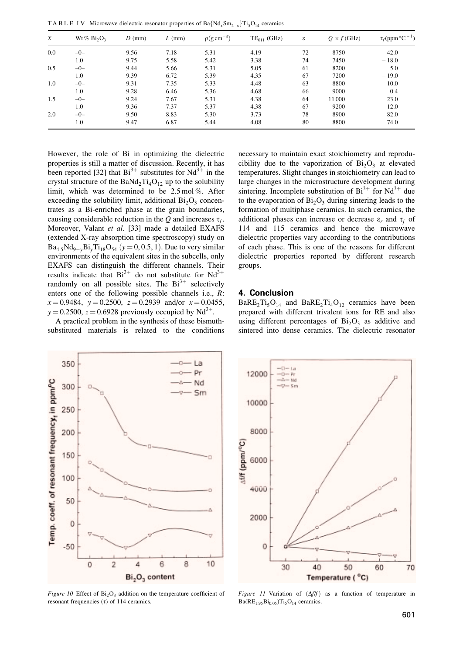TA B L E IV Microwave dielectric resonator properties of Ba $\{Nd_xSm_{2-x}\}Ti_5O_{14}$  ceramics

| X       | Wt % $Bi_2O_3$ | $D$ (mm) | $L$ (mm) | $\rho(g \, \text{cm}^{-3})$ | $TE_{011}$ (GHz) | ε  | $Q \times f$ (GHz) | $\tau_f$ (ppm $^{\circ}$ C <sup>-1</sup> ) |
|---------|----------------|----------|----------|-----------------------------|------------------|----|--------------------|--------------------------------------------|
| $0.0\,$ | $-0-$          | 9.56     | 7.18     | 5.31                        | 4.19             | 72 | 8750               | $-42.0$                                    |
|         | 1.0            | 9.75     | 5.58     | 5.42                        | 3.38             | 74 | 7450               | $-18.0$                                    |
| 0.5     | $-0-$          | 9.44     | 5.66     | 5.31                        | 5.05             | 61 | 8200               | 5.0                                        |
|         | 1.0            | 9.39     | 6.72     | 5.39                        | 4.35             | 67 | 7200               | $-19.0$                                    |
| 1.0     | $-0-$          | 9.31     | 7.35     | 5.33                        | 4.48             | 63 | 8800               | 10.0                                       |
|         | 1.0            | 9.28     | 6.46     | 5.36                        | 4.68             | 66 | 9000               | 0.4                                        |
| 1.5     | $-0-$          | 9.24     | 7.67     | 5.31                        | 4.38             | 64 | 11000              | 23.0                                       |
|         | 1.0            | 9.36     | 7.37     | 5.37                        | 4.38             | 67 | 9200               | 12.0                                       |
| 2.0     | $-0-$          | 9.50     | 8.83     | 5.30                        | 3.73             | 78 | 8900               | 82.0                                       |
|         | 1.0            | 9.47     | 6.87     | 5.44                        | 4.08             | 80 | 8800               | 74.0                                       |

However, the role of Bi in optimizing the dielectric properties is still a matter of discussion. Recently, it has been reported [32] that  $Bi^{3+}$  substitutes for  $Nd^{3+}$  in the crystal structure of the BaNd<sub>2</sub>Ti<sub>4</sub>O<sub>12</sub> up to the solubility limit, which was determined to be 2.5 mol %. After exceeding the solubility limit, additional  $Bi<sub>2</sub>O<sub>3</sub>$  concentrates as a Bi-enriched phase at the grain boundaries, causing considerable reduction in the Q and increases  $\tau_f$ . Moreover, Valant et al. [33] made a detailed EXAFS (extended X-ray absorption time spectroscopy) study on  $Ba_{4.5}Nd_{9-v}Bi_vTi_{18}O_{54}$  (y = 0, 0.5, 1). Due to very similar environments of the equivalent sites in the subcells, only EXAFS can distinguish the different channels. Their results indicate that  $Bi^{3+}$  do not substitute for  $Nd^{3+}$ randomly on all possible sites. The  $Bi^{3+}$  selectively enters one of the following possible channels i.e.,  $R$ :  $x = 0.9484$ ,  $y = 0.2500$ ,  $z = 0.2939$  and/or  $x = 0.0455$ ,  $y = 0.2500$ ,  $z = 0.6928$  previously occupied by Nd<sup>3+</sup>.

A practical problem in the synthesis of these bismuthsubstituted materials is related to the conditions necessary to maintain exact stoichiometry and reproducibility due to the vaporization of  $Bi<sub>2</sub>O<sub>3</sub>$  at elevated temperatures. Slight changes in stoichiometry can lead to large changes in the microstructure development during sintering. Incomplete substitution of  $Bi^{3+}$  for  $Nd^{3+}$  due to the evaporation of  $Bi<sub>2</sub>O<sub>3</sub>$  during sintering leads to the formation of multiphase ceramics. In such ceramics, the additional phases can increase or decrease  $\varepsilon_r$  and  $\tau_f$  of 114 and 115 ceramics and hence the microwave dielectric properties vary according to the contributions of each phase. This is one of the reasons for different dielectric properties reported by different research groups.

#### 4. Conclusion

 $BaRE<sub>2</sub>Ti<sub>5</sub>O<sub>14</sub>$  and  $BaRE<sub>2</sub>Ti<sub>4</sub>O<sub>12</sub>$  ceramics have been prepared with different trivalent ions for RE and also using different percentages of  $Bi<sub>2</sub>O<sub>3</sub>$  as additive and sintered into dense ceramics. The dielectric resonator



Figure 10 Effect of  $Bi_2O_3$  addition on the temperature coefficient of resonant frequencies  $(\tau)$  of 114 ceramics.



Figure 11 Variation of  $(\Delta f/f)$  as a function of temperature in  $Ba(RE_{1.95}Bi_{0.05})Ti_5O_{14}$  ceramics.